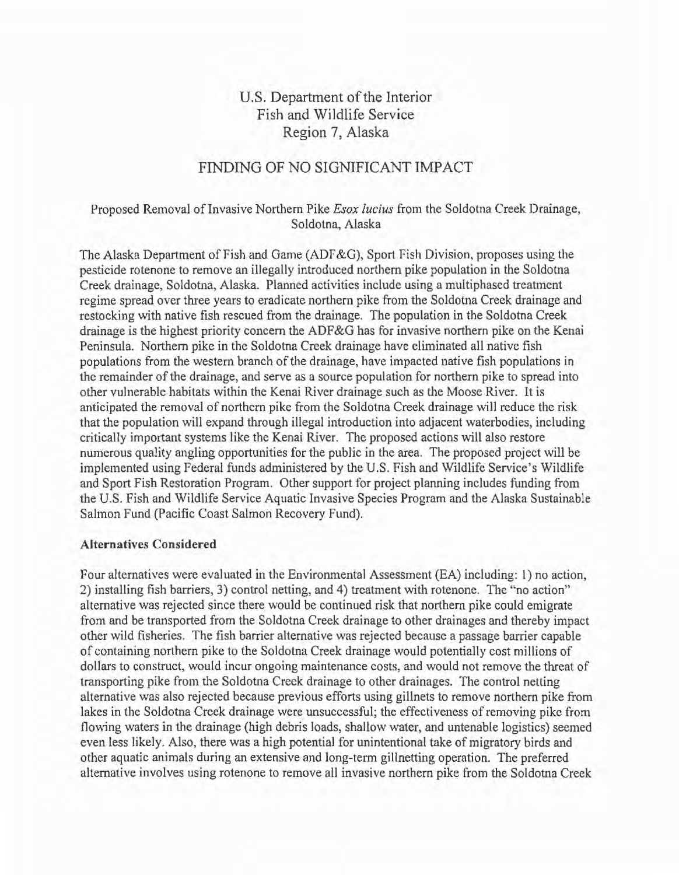# U.S. Department of the Interior Fish and Wildlife Service Region 7, Alaska

# FINDING OF NO SIGNIFICANT IMPACT

## Proposed Removal of Invasive Northern Pike *Esox lucius* from the Soldotna Creek Drainage, Soldotna, Alaska

The Alaska Department of Fish and Game (ADF &G), Sport Fish Division, proposes using the pesticide rotenone to remove an illegally introduced northern pike population in the Soldotna Creek drainage, Soldotna, Alaska. Planned activities include using a multiphased treatment regime spread over three years to eradicate northern pike from the Soldotna Creek drainage and restocking with native fish rescued from the drainage. The population in the Soldotna Creek drainage is the highest priority concern the ADF&G has for invasive northern pike on the Kenai Peninsula. Northern pike in the Soldotna Creek drainage have eliminated all native fish populations from the western branch of the drainage, have impacted native fish populations in the remainder of the drainage, and serve as a source population for northern pike to spread into other vulnerable habitats within the Kenai River drainage such as the Moose River. It is anticipated the removal of northern pike from the Soldotna Creek drainage will reduce the risk that the population will expand through illegal introduction into adjacent waterbodies, including critically important systems like the Kenai River. The proposed actions will also restore numerous quality angling opportunities for the public in the area. The proposed project will be implemented using Federal funds administered by the U.S. Fish and Wildlife Service's Wildlife and Sport Fish Restoration Program. Other support for project planning includes funding from the U.S. Fish and Wildlife Service Aquatic Invasive Species Program and the Alaska Sustainable Salmon Fund (Pacific Coast Salmon Recovery Fund).

#### **Alternatives Considered**

Four alternatives were evaluated in the Environmental Assessment (EA) including: 1) no action, 2) installing fish barriers, 3) control netting, and 4) treatment with rotenone. The "no action" alternative was rejected since there would be continued risk that northern pike could emigrate from and be transported from the Soldotna Creek drainage to other drainages and thereby impact other wild fisheries. The fish barrier alternative was rejected because a passage barrier capable of containing northern pike to the Soldotna Creek drainage would potentially cost millions of dollars to construct, would incur ongoing maintenance costs, and would not remove the threat of transporting pike from the Soldotna Creek drainage to other drainages. The control netting alternative was also rejected because previous efforts using gillnets to remove northern pike from lakes in the Soldotna Creek drainage were unsuccessful; the effectiveness of removing pike from flowing waters in the drainage (high debris loads, shallow water, and untenable logistics) seemed even less likely. Also, there was a high potential for unintentional take of migratory birds and other aquatic animals during an extensive and long-term gillnetting operation. The preferred alternative involves using rotenone to remove all invasive northern pike from the Soldotna Creek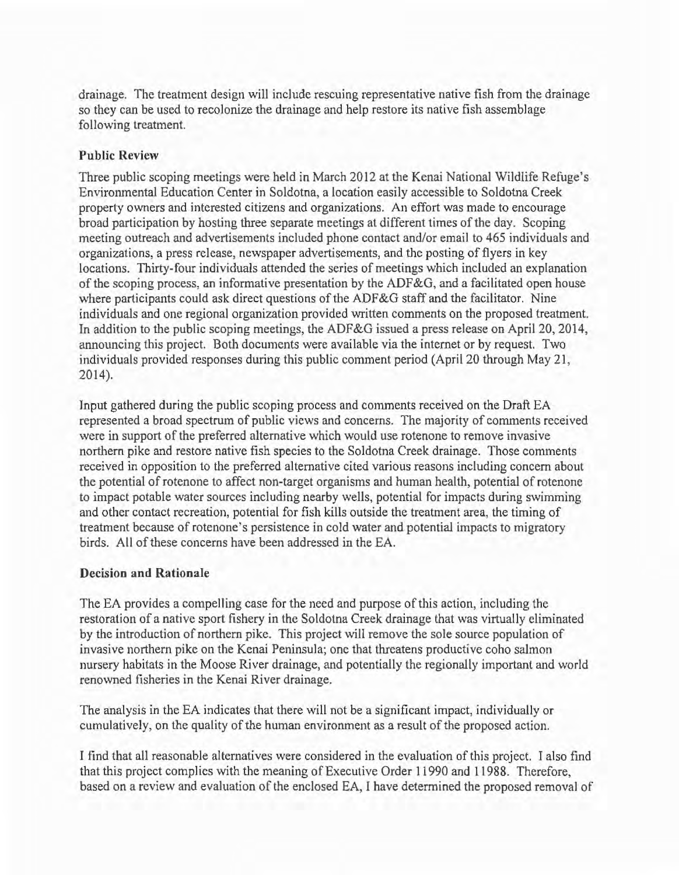drainage. The treatment design will include rescuing representative native fish from the drainage so they can be used to recolonize the drainage and help restore its native fish assemblage following treatment.

# Public Review

Three public scoping meetings were held in March 2012 at the Kenai National Wildlife Refuge's Environmental Education Center in Soldotna, a location easily accessible to Soldotna Creek property owners and interested citizens and organizations. An effort was made to encourage broad participation by hosting three separate meetings at different times of the day. Scoping meeting outreach and advertisements included phone contact and/or email to 465 individuals and organizations, a press release, newspaper advertisements, and the posting of flyers in key locations. Thirty-four individuals attended the series of meetings which included an explanation of the scoping process, an informative presentation by the ADF &G, and a facilitated open house where participants could ask direct questions of the ADF&G staff and the facilitator. Nine individuals and one regional organization provided written comments on the proposed treatment. In addition to the public scoping meetings, the ADF&G issued a press release on April 20, 2014, announcing this project. Both documents were available via the internet or by request. Two individuals provided responses during this public comment period (April 20 through May 21, 2014).

Input gathered during the public scoping process and comments received on the Draft EA represented a broad spectrum of public views and concerns. The majority of comments received were in support of the preferred alternative which would use rotenone to remove invasive northern pike and restore native fish species to the Soldotna Creek drainage. Those comments received in opposition to the preferred alternative cited various reasons including concern about the potential of rotenone to affect non-target organisms and human health, potential of rotenone to impact potable water sources including nearby wells, potential for impacts during swimming and other contact recreation, potential for fish kills outside the treatment area, the timing of treatment because of rotenone's persistence in cold water and potential impacts to migratory birds. All of these concerns have been addressed in the EA.

## Decision and Rationale

The EA provides a compelling case for the need and purpose of this action, including the restoration of a native sport fishery in the Soldotna Creek drainage that was virtually eliminated by the introduction of northern pike. This project will remove the sole source population of invasive northern pike on the Kenai Peninsula; one that threatens productive coho salmon nursery habitats in the Moose River drainage, and potentially the regionally important and world renowned fisheries in the Kenai River drainage.

The analysis in the EA indicates that there will not be a significant impact, individually or cumulatively, on the quality of the human environment as a result of the proposed action.

I find that all reasonable alternatives were considered in the evaluation of this project. I also find that this project complies with the meaning of Executive Order 11990 and 11988. Therefore, based on a review and evaluation of the enclosed EA, I have determined the proposed removal of